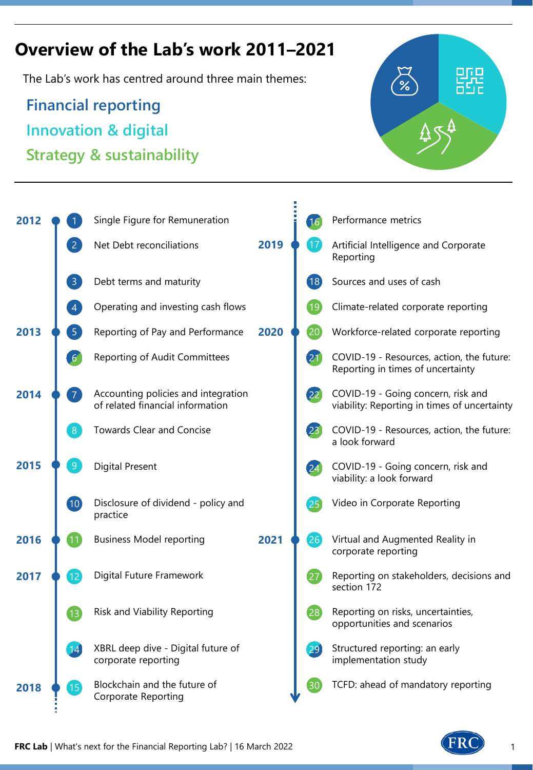# **Overview of the Lab's work 2011–2021**

The Lab's work has centred around three main themes:

**Financial reporting Innovation & digital Strategy & sustainability**